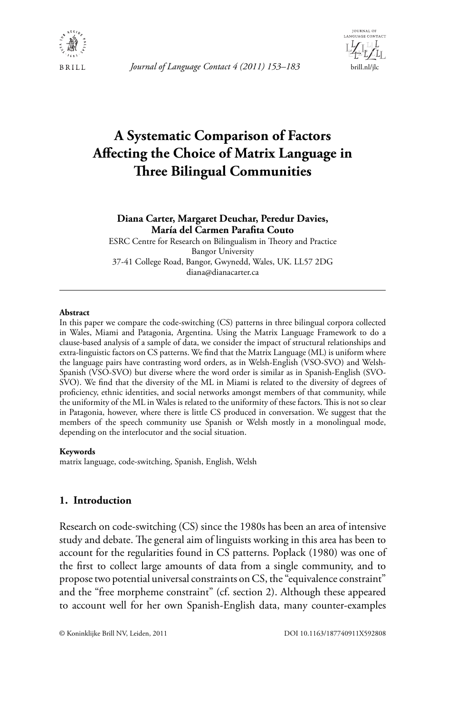

Journal of Language Contact 4 (2011) 153-183



# A Systematic Comparison of Factors Affecting the Choice of Matrix Language in **Three Bilingual Communities**

#### Diana Carter, Margaret Deuchar, Peredur Davies, María del Carmen Parafita Couto

ESRC Centre for Research on Bilingualism in Theory and Practice **Bangor University** 37-41 College Road, Bangor, Gwynedd, Wales, UK. LL57 2DG diana@dianacarter.ca

#### Abstract

In this paper we compare the code-switching (CS) patterns in three bilingual corpora collected in Wales, Miami and Patagonia, Argentina. Using the Matrix Language Framework to do a clause-based analysis of a sample of data, we consider the impact of structural relationships and extra-linguistic factors on CS patterns. We find that the Matrix Language (ML) is uniform where the language pairs have contrasting word orders, as in Welsh-English (VSO-SVO) and Welsh-Spanish (VSO-SVO) but diverse where the word order is similar as in Spanish-English (SVO-SVO). We find that the diversity of the ML in Miami is related to the diversity of degrees of proficiency, ethnic identities, and social networks amongst members of that community, while the uniformity of the ML in Wales is related to the uniformity of these factors. This is not so clear in Patagonia, however, where there is little CS produced in conversation. We suggest that the members of the speech community use Spanish or Welsh mostly in a monolingual mode, depending on the interlocutor and the social situation.

#### Keywords

matrix language, code-switching, Spanish, English, Welsh

### 1. Introduction

Research on code-switching (CS) since the 1980s has been an area of intensive study and debate. The general aim of linguists working in this area has been to account for the regularities found in CS patterns. Poplack (1980) was one of the first to collect large amounts of data from a single community, and to propose two potential universal constraints on CS, the "equivalence constraint" and the "free morpheme constraint" (cf. section 2). Although these appeared to account well for her own Spanish-English data, many counter-examples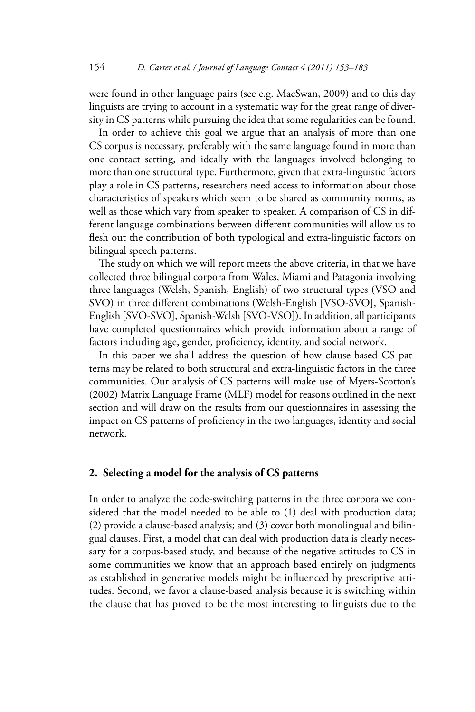were found in other language pairs (see e.g. MacSwan, 2009) and to this day linguists are trying to account in a systematic way for the great range of diversity in CS patterns while pursuing the idea that some regularities can be found.

In order to achieve this goal we argue that an analysis of more than one CS corpus is necessary, preferably with the same language found in more than one contact setting, and ideally with the languages involved belonging to more than one structural type. Furthermore, given that extra-linguistic factors play a role in CS patterns, researchers need access to information about those characteristics of speakers which seem to be shared as community norms, as well as those which vary from speaker to speaker. A comparison of CS in different language combinations between different communities will allow us to flesh out the contribution of both typological and extra-linguistic factors on bilingual speech patterns.

The study on which we will report meets the above criteria, in that we have collected three bilingual corpora from Wales, Miami and Patagonia involving three languages (Welsh, Spanish, English) of two structural types (VSO and SVO) in three different combinations (Welsh-English [VSO-SVO], Spanish-English [SVO-SVO], Spanish-Welsh [SVO-VSO]). In addition, all participants have completed questionnaires which provide information about a range of factors including age, gender, proficiency, identity, and social network.

In this paper we shall address the question of how clause-based CS patterns may be related to both structural and extra-linguistic factors in the three communities. Our analysis of CS patterns will make use of Myers-Scotton's (2002) Matrix Language Frame (MLF) model for reasons outlined in the next section and will draw on the results from our questionnaires in assessing the impact on CS patterns of proficiency in the two languages, identity and social network.

### 2. Selecting a model for the analysis of CS patterns

In order to analyze the code-switching patterns in the three corpora we considered that the model needed to be able to (1) deal with production data; (2) provide a clause-based analysis; and (3) cover both monolingual and bilingual clauses. First, a model that can deal with production data is clearly necessary for a corpus-based study, and because of the negative attitudes to CS in some communities we know that an approach based entirely on judgments as established in generative models might be influenced by prescriptive attitudes. Second, we favor a clause-based analysis because it is switching within the clause that has proved to be the most interesting to linguists due to the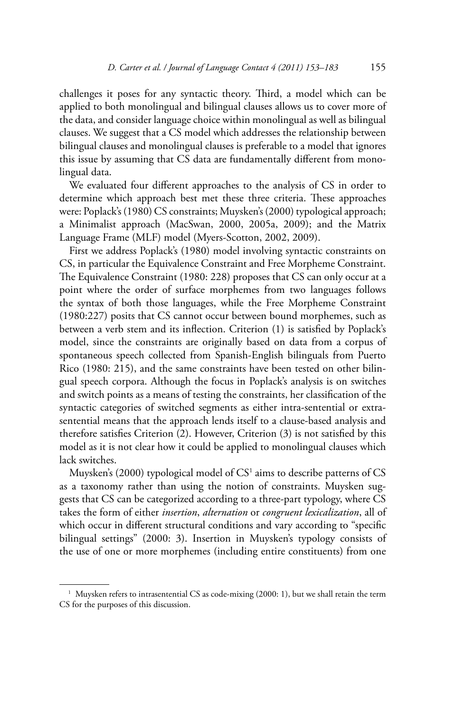challenges it poses for any syntactic theory. Third, a model which can be applied to both monolingual and bilingual clauses allows us to cover more of the data, and consider language choice within monolingual as well as bilingual clauses. We suggest that a CS model which addresses the relationship between bilingual clauses and monolingual clauses is preferable to a model that ignores this issue by assuming that CS data are fundamentally different from monolingual data.

We evaluated four different approaches to the analysis of CS in order to determine which approach best met these three criteria. These approaches were: Poplack's (1980) CS constraints; Muysken's (2000) typological approach; a Minimalist approach (MacSwan, 2000, 2005a, 2009); and the Matrix Language Frame (MLF) model (Myers-Scotton, 2002, 2009).

First we address Poplack's (1980) model involving syntactic constraints on CS, in particular the Equivalence Constraint and Free Morpheme Constraint. The Equivalence Constraint (1980: 228) proposes that CS can only occur at a point where the order of surface morphemes from two languages follows the syntax of both those languages, while the Free Morpheme Constraint (1980:227) posits that CS cannot occur between bound morphemes, such as between a verb stem and its inflection. Criterion (1) is satisfied by Poplack's model, since the constraints are originally based on data from a corpus of spontaneous speech collected from Spanish-English bilinguals from Puerto Rico (1980: 215), and the same constraints have been tested on other bilingual speech corpora. Although the focus in Poplack's analysis is on switches and switch points as a means of testing the constraints, her classification of the syntactic categories of switched segments as either intra-sentential or extrasentential means that the approach lends itself to a clause-based analysis and therefore satisfies Criterion (2). However, Criterion (3) is not satisfied by this model as it is not clear how it could be applied to monolingual clauses which lack switches.

Muysken's (2000) typological model of CS<sup>1</sup> aims to describe patterns of CS as a taxonomy rather than using the notion of constraints. Muysken suggests that CS can be categorized according to a three-part typology, where CS takes the form of either insertion, alternation or congruent lexicalization, all of which occur in different structural conditions and vary according to "specific bilingual settings" (2000: 3). Insertion in Muysken's typology consists of the use of one or more morphemes (including entire constituents) from one

<sup>&</sup>lt;sup>1</sup> Muysken refers to intrasentential CS as code-mixing (2000: 1), but we shall retain the term CS for the purposes of this discussion.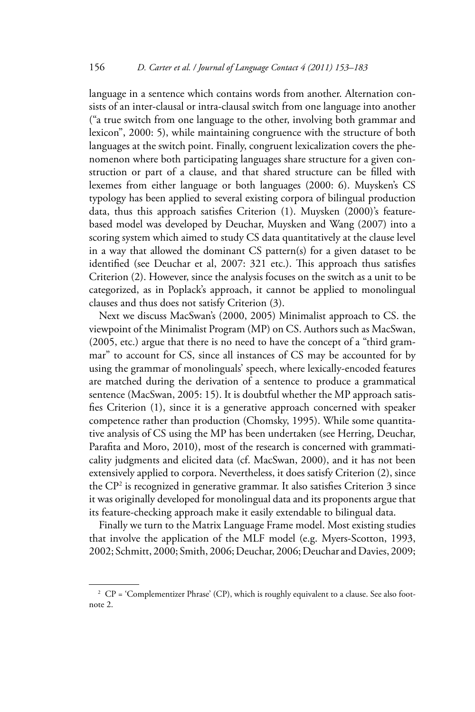language in a sentence which contains words from another. Alternation consists of an inter-clausal or intra-clausal switch from one language into another ("a true switch from one language to the other, involving both grammar and lexicon", 2000: 5), while maintaining congruence with the structure of both languages at the switch point. Finally, congruent lexicalization covers the phenomenon where both participating languages share structure for a given construction or part of a clause, and that shared structure can be filled with lexemes from either language or both languages (2000: 6). Muysken's CS typology has been applied to several existing corpora of bilingual production data, thus this approach satisfies Criterion (1). Muysken (2000)'s featurebased model was developed by Deuchar, Muysken and Wang (2007) into a scoring system which aimed to study CS data quantitatively at the clause level in a way that allowed the dominant CS pattern(s) for a given dataset to be identified (see Deuchar et al, 2007: 321 etc.). This approach thus satisfies Criterion (2). However, since the analysis focuses on the switch as a unit to be categorized, as in Poplack's approach, it cannot be applied to monolingual clauses and thus does not satisfy Criterion (3).

Next we discuss MacSwan's (2000, 2005) Minimalist approach to CS. the viewpoint of the Minimalist Program (MP) on CS. Authors such as MacSwan, (2005, etc.) argue that there is no need to have the concept of a "third grammar" to account for CS, since all instances of CS may be accounted for by using the grammar of monolinguals' speech, where lexically-encoded features are matched during the derivation of a sentence to produce a grammatical sentence (MacSwan, 2005: 15). It is doubtful whether the MP approach satisfies Criterion (1), since it is a generative approach concerned with speaker competence rather than production (Chomsky, 1995). While some quantitative analysis of CS using the MP has been undertaken (see Herring, Deuchar, Parafita and Moro, 2010), most of the research is concerned with grammaticality judgments and elicited data (cf. MacSwan, 2000), and it has not been extensively applied to corpora. Nevertheless, it does satisfy Criterion (2), since the  $CP<sup>2</sup>$  is recognized in generative grammar. It also satisfies Criterion 3 since it was originally developed for monolingual data and its proponents argue that its feature-checking approach make it easily extendable to bilingual data.

Finally we turn to the Matrix Language Frame model. Most existing studies that involve the application of the MLF model (e.g. Myers-Scotton, 1993, 2002; Schmitt, 2000; Smith, 2006; Deuchar, 2006; Deuchar and Davies, 2009;

<sup>&</sup>lt;sup>2</sup> CP = 'Complementizer Phrase' (CP), which is roughly equivalent to a clause. See also footnote 2.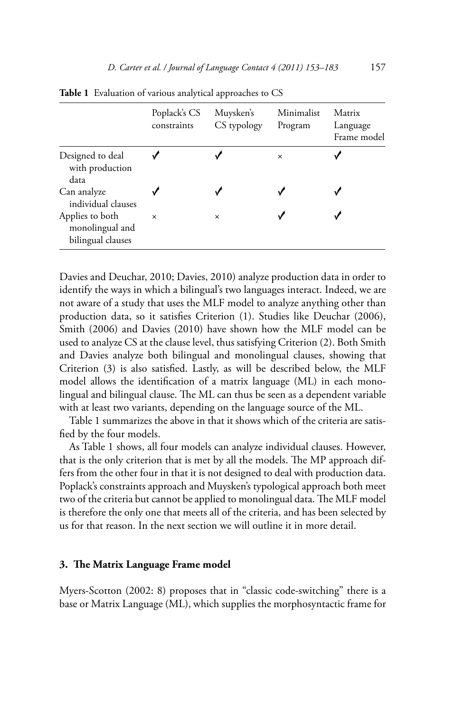|                                                         | Poplack's CS<br>constraints | Muysken's<br>CS typology | Minimalist<br>Program | Matrix<br>Language<br>Frame model |
|---------------------------------------------------------|-----------------------------|--------------------------|-----------------------|-----------------------------------|
| Designed to deal<br>with production<br>data             |                             |                          | $\times$              |                                   |
| Can analyze<br>individual clauses                       |                             |                          |                       |                                   |
| Applies to both<br>monolingual and<br>bilingual clauses | $\times$                    | $\times$                 |                       |                                   |

Table 1 Evaluation of various analytical approaches to CS

Davies and Deuchar, 2010; Davies, 2010) analyze production data in order to identify the ways in which a bilingual's two languages interact. Indeed, we are not aware of a study that uses the MLF model to analyze anything other than production data, so it satisfies Criterion (1). Studies like Deuchar (2006), Smith (2006) and Davies (2010) have shown how the MLF model can be used to analyze CS at the clause level, thus satisfying Criterion (2). Both Smith and Davies analyze both bilingual and monolingual clauses, showing that Criterion (3) is also satisfied. Lastly, as will be described below, the MLF model allows the identification of a matrix language (ML) in each monolingual and bilingual clause. The ML can thus be seen as a dependent variable with at least two variants, depending on the language source of the ML.

Table 1 summarizes the above in that it shows which of the criteria are satisfied by the four models.

As Table 1 shows, all four models can analyze individual clauses. However, that is the only criterion that is met by all the models. The MP approach differs from the other four in that it is not designed to deal with production data. Poplack's constraints approach and Muysken's typological approach both meet two of the criteria but cannot be applied to monolingual data. The MLF model is therefore the only one that meets all of the criteria, and has been selected by us for that reason. In the next section we will outline it in more detail.

#### 3. The Matrix Language Frame model

Myers-Scotton (2002: 8) proposes that in "classic code-switching" there is a base or Matrix Language (ML), which supplies the morphosyntactic frame for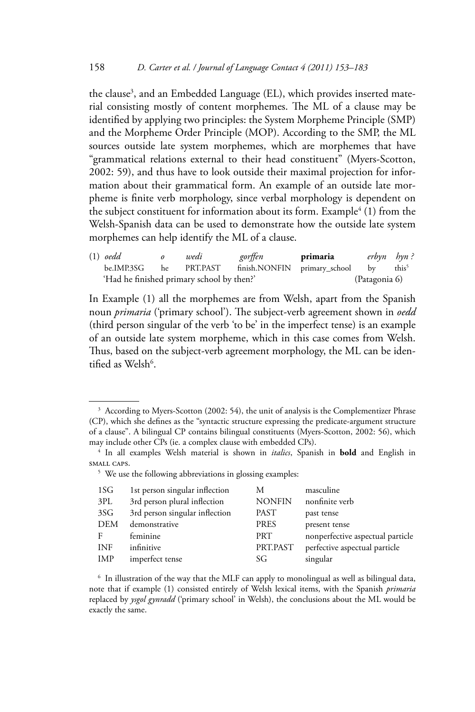158

the clause<sup>3</sup>, and an Embedded Language (EL), which provides inserted material consisting mostly of content morphemes. The ML of a clause may be identified by applying two principles: the System Morpheme Principle (SMP) and the Morpheme Order Principle (MOP). According to the SMP, the ML sources outside late system morphemes, which are morphemes that have "grammatical relations external to their head constituent" (Myers-Scotton, 2002: 59), and thus have to look outside their maximal projection for information about their grammatical form. An example of an outside late morpheme is finite verb morphology, since verbal morphology is dependent on the subject constituent for information about its form. Example<sup>4</sup> (1) from the Welsh-Spanish data can be used to demonstrate how the outside late system morphemes can help identify the ML of a clause.

|                                           | $(1)$ oedd |  | wedi | gorffen                                  | primaria | $erbyn$ <i>hyn</i> ? |                   |
|-------------------------------------------|------------|--|------|------------------------------------------|----------|----------------------|-------------------|
|                                           | be.IMP.3SG |  |      | he PRT.PAST finish.NONFIN primary_school |          | $-$ by               | this <sup>5</sup> |
| 'Had he finished primary school by then?' |            |  |      | (Patagonia 6)                            |          |                      |                   |

In Example (1) all the morphemes are from Welsh, apart from the Spanish noun *primaria* ('primary school'). The subject-verb agreement shown in *oedd* (third person singular of the verb 'to be' in the imperfect tense) is an example of an outside late system morpheme, which in this case comes from Welsh. Thus, based on the subject-verb agreement morphology, the ML can be identified as Welsh<sup>6</sup>.

<sup>&</sup>lt;sup>5</sup> We use the following abbreviations in glossing examples:

| 1SG | 1st person singular inflection | М             | masculine                        |
|-----|--------------------------------|---------------|----------------------------------|
| 3PL | 3rd person plural inflection   | <b>NONFIN</b> | nonfinite verb                   |
| 3SG | 3rd person singular inflection | <b>PAST</b>   | past tense                       |
| DEM | demonstrative                  | PRES          | present tense                    |
| F   | feminine                       | <b>PRT</b>    | nonperfective aspectual particle |
| INF | infinitive                     | PRT.PAST      | perfective aspectual particle    |
| IMP | imperfect tense                | SG            | singular                         |

<sup>6</sup> In illustration of the way that the MLF can apply to monolingual as well as bilingual data, note that if example (1) consisted entirely of Welsh lexical items, with the Spanish primaria replaced by ysgol gynradd ('primary school' in Welsh), the conclusions about the ML would be exactly the same.

<sup>&</sup>lt;sup>3</sup> According to Myers-Scotton (2002: 54), the unit of analysis is the Complementizer Phrase (CP), which she defines as the "syntactic structure expressing the predicate-argument structure of a clause". A bilingual CP contains bilingual constituents (Myers-Scotton, 2002: 56), which may include other CPs (ie. a complex clause with embedded CPs).

<sup>&</sup>lt;sup>4</sup> In all examples Welsh material is shown in *italics*, Spanish in **bold** and English in SMALL CAPS.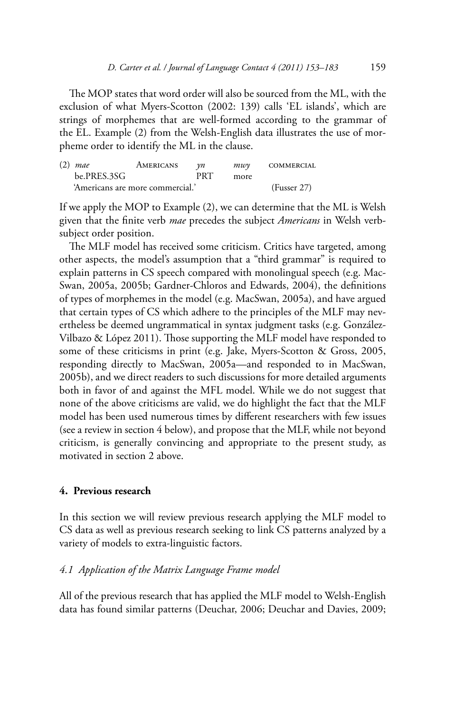The MOP states that word order will also be sourced from the ML, with the exclusion of what Myers-Scotton (2002: 139) calls 'EL islands', which are strings of morphemes that are well-formed according to the grammar of the EL. Example (2) from the Welsh-English data illustrates the use of morpheme order to identify the ML in the clause.

| $(2)$ mae                        | AMERICANS | γn         | mwy  | COMMERCIAL  |
|----------------------------------|-----------|------------|------|-------------|
| be.PRES.3SG                      |           | <b>PRT</b> | more |             |
| 'Americans are more commercial.' |           |            |      | (Fusser 27) |

If we apply the MOP to Example (2), we can determine that the ML is Welsh given that the finite verb *mae* precedes the subject *Americans* in Welsh verbsubject order position.

The MLF model has received some criticism. Critics have targeted, among other aspects, the model's assumption that a "third grammar" is required to explain patterns in CS speech compared with monolingual speech (e.g. Mac-Swan, 2005a, 2005b; Gardner-Chloros and Edwards, 2004), the definitions of types of morphemes in the model (e.g. MacSwan, 2005a), and have argued that certain types of CS which adhere to the principles of the MLF may nevertheless be deemed ungrammatical in syntax judgment tasks (e.g. González-Vilbazo & López 2011). Those supporting the MLF model have responded to some of these criticisms in print (e.g. Jake, Myers-Scotton & Gross, 2005, responding directly to MacSwan, 2005a-and responded to in MacSwan, 2005b), and we direct readers to such discussions for more detailed arguments both in favor of and against the MFL model. While we do not suggest that none of the above criticisms are valid, we do highlight the fact that the MLF model has been used numerous times by different researchers with few issues (see a review in section 4 below), and propose that the MLF, while not beyond criticism, is generally convincing and appropriate to the present study, as motivated in section 2 above.

### 4. Previous research

In this section we will review previous research applying the MLF model to CS data as well as previous research seeking to link CS patterns analyzed by a variety of models to extra-linguistic factors.

### 4.1 Application of the Matrix Language Frame model

All of the previous research that has applied the MLF model to Welsh-English data has found similar patterns (Deuchar, 2006; Deuchar and Davies, 2009;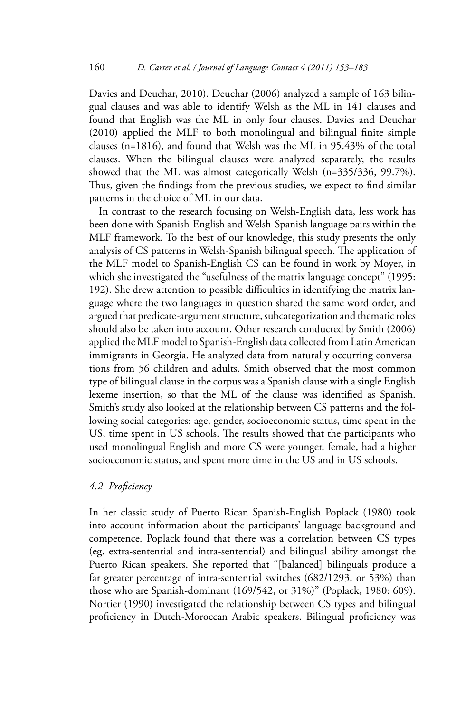Davies and Deuchar, 2010). Deuchar (2006) analyzed a sample of 163 bilingual clauses and was able to identify Welsh as the ML in 141 clauses and found that English was the ML in only four clauses. Davies and Deuchar (2010) applied the MLF to both monolingual and bilingual finite simple clauses (n=1816), and found that Welsh was the ML in 95.43% of the total clauses. When the bilingual clauses were analyzed separately, the results showed that the ML was almost categorically Welsh (n=335/336, 99.7%). Thus, given the findings from the previous studies, we expect to find similar patterns in the choice of ML in our data.

In contrast to the research focusing on Welsh-English data, less work has been done with Spanish-English and Welsh-Spanish language pairs within the MLF framework. To the best of our knowledge, this study presents the only analysis of CS patterns in Welsh-Spanish bilingual speech. The application of the MLF model to Spanish-English CS can be found in work by Moyer, in which she investigated the "usefulness of the matrix language concept" (1995: 192). She drew attention to possible difficulties in identifying the matrix language where the two languages in question shared the same word order, and argued that predicate-argument structure, subcategorization and thematic roles should also be taken into account. Other research conducted by Smith (2006) applied the MLF model to Spanish-English data collected from Latin American immigrants in Georgia. He analyzed data from naturally occurring conversations from 56 children and adults. Smith observed that the most common type of bilingual clause in the corpus was a Spanish clause with a single English lexeme insertion, so that the ML of the clause was identified as Spanish. Smith's study also looked at the relationship between CS patterns and the following social categories: age, gender, socioeconomic status, time spent in the US, time spent in US schools. The results showed that the participants who used monolingual English and more CS were younger, female, had a higher socioeconomic status, and spent more time in the US and in US schools.

### 4.2 Proficiency

In her classic study of Puerto Rican Spanish-English Poplack (1980) took into account information about the participants' language background and competence. Poplack found that there was a correlation between CS types (eg. extra-sentential and intra-sentential) and bilingual ability amongst the Puerto Rican speakers. She reported that "[balanced] bilinguals produce a far greater percentage of intra-sentential switches (682/1293, or 53%) than those who are Spanish-dominant (169/542, or 31%)" (Poplack, 1980: 609). Nortier (1990) investigated the relationship between CS types and bilingual proficiency in Dutch-Moroccan Arabic speakers. Bilingual proficiency was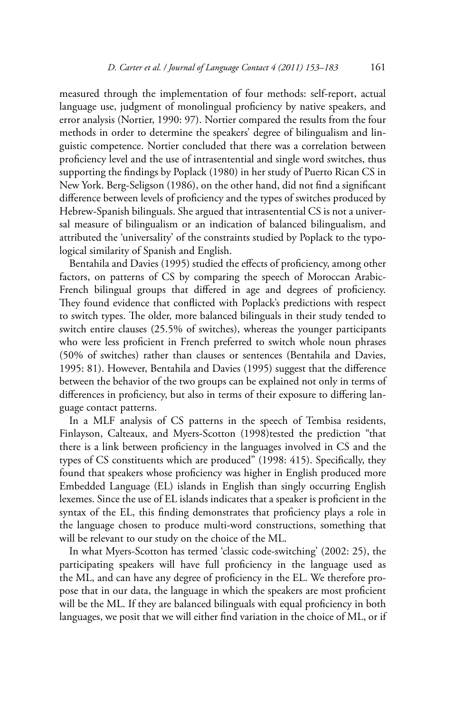measured through the implementation of four methods: self-report, actual language use, judgment of monolingual proficiency by native speakers, and error analysis (Nortier, 1990: 97). Nortier compared the results from the four methods in order to determine the speakers' degree of bilingualism and linguistic competence. Nortier concluded that there was a correlation between proficiency level and the use of intrasentential and single word switches, thus supporting the findings by Poplack (1980) in her study of Puerto Rican CS in New York. Berg-Seligson (1986), on the other hand, did not find a significant difference between levels of proficiency and the types of switches produced by Hebrew-Spanish bilinguals. She argued that intrasentential CS is not a universal measure of bilingualism or an indication of balanced bilingualism, and attributed the 'universality' of the constraints studied by Poplack to the typological similarity of Spanish and English.

Bentahila and Davies (1995) studied the effects of proficiency, among other factors, on patterns of CS by comparing the speech of Moroccan Arabic-French bilingual groups that differed in age and degrees of proficiency. They found evidence that conflicted with Poplack's predictions with respect to switch types. The older, more balanced bilinguals in their study tended to switch entire clauses (25.5% of switches), whereas the younger participants who were less proficient in French preferred to switch whole noun phrases (50% of switches) rather than clauses or sentences (Bentahila and Davies, 1995: 81). However, Bentahila and Davies (1995) suggest that the difference between the behavior of the two groups can be explained not only in terms of differences in proficiency, but also in terms of their exposure to differing language contact patterns.

In a MLF analysis of CS patterns in the speech of Tembisa residents, Finlayson, Calteaux, and Myers-Scotton (1998)tested the prediction "that there is a link between proficiency in the languages involved in CS and the types of CS constituents which are produced" (1998: 415). Specifically, they found that speakers whose proficiency was higher in English produced more Embedded Language (EL) islands in English than singly occurring English lexemes. Since the use of EL islands indicates that a speaker is proficient in the syntax of the EL, this finding demonstrates that proficiency plays a role in the language chosen to produce multi-word constructions, something that will be relevant to our study on the choice of the ML.

In what Myers-Scotton has termed 'classic code-switching' (2002: 25), the participating speakers will have full proficiency in the language used as the ML, and can have any degree of proficiency in the EL. We therefore propose that in our data, the language in which the speakers are most proficient will be the ML. If they are balanced bilinguals with equal proficiency in both languages, we posit that we will either find variation in the choice of ML, or if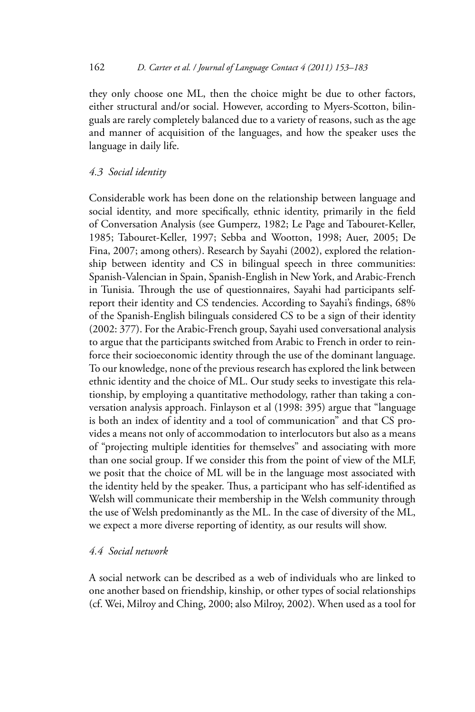they only choose one ML, then the choice might be due to other factors, either structural and/or social. However, according to Myers-Scotton, bilinguals are rarely completely balanced due to a variety of reasons, such as the age and manner of acquisition of the languages, and how the speaker uses the language in daily life.

### 4.3 Social identity

Considerable work has been done on the relationship between language and social identity, and more specifically, ethnic identity, primarily in the field of Conversation Analysis (see Gumperz, 1982; Le Page and Tabouret-Keller, 1985; Tabouret-Keller, 1997; Sebba and Wootton, 1998; Auer, 2005; De Fina, 2007; among others). Research by Sayahi (2002), explored the relationship between identity and CS in bilingual speech in three communities: Spanish-Valencian in Spain, Spanish-English in New York, and Arabic-French in Tunisia. Through the use of questionnaires, Sayahi had participants selfreport their identity and CS tendencies. According to Sayahi's findings, 68% of the Spanish-English bilinguals considered CS to be a sign of their identity (2002: 377). For the Arabic-French group, Sayahi used conversational analysis to argue that the participants switched from Arabic to French in order to reinforce their socioeconomic identity through the use of the dominant language. To our knowledge, none of the previous research has explored the link between ethnic identity and the choice of ML. Our study seeks to investigate this relationship, by employing a quantitative methodology, rather than taking a conversation analysis approach. Finlayson et al (1998: 395) argue that "language is both an index of identity and a tool of communication" and that CS provides a means not only of accommodation to interlocutors but also as a means of "projecting multiple identities for themselves" and associating with more than one social group. If we consider this from the point of view of the MLF, we posit that the choice of ML will be in the language most associated with the identity held by the speaker. Thus, a participant who has self-identified as Welsh will communicate their membership in the Welsh community through the use of Welsh predominantly as the ML. In the case of diversity of the ML, we expect a more diverse reporting of identity, as our results will show.

### 4.4 Social network

A social network can be described as a web of individuals who are linked to one another based on friendship, kinship, or other types of social relationships (cf. Wei, Milroy and Ching, 2000; also Milroy, 2002). When used as a tool for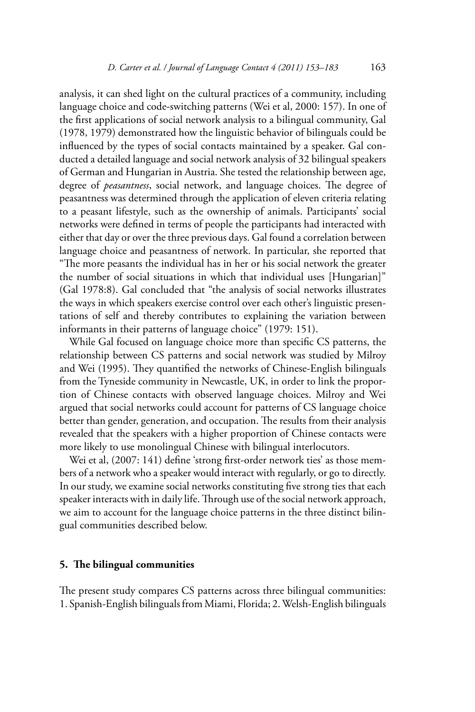analysis, it can shed light on the cultural practices of a community, including language choice and code-switching patterns (Wei et al, 2000: 157). In one of the first applications of social network analysis to a bilingual community, Gal (1978, 1979) demonstrated how the linguistic behavior of bilinguals could be influenced by the types of social contacts maintained by a speaker. Gal conducted a detailed language and social network analysis of 32 bilingual speakers of German and Hungarian in Austria. She tested the relationship between age, degree of *peasantness*, social network, and language choices. The degree of peasantness was determined through the application of eleven criteria relating to a peasant lifestyle, such as the ownership of animals. Participants' social networks were defined in terms of people the participants had interacted with either that day or over the three previous days. Gal found a correlation between language choice and peasantness of network. In particular, she reported that "The more peasants the individual has in her or his social network the greater the number of social situations in which that individual uses [Hungarian]" (Gal 1978:8). Gal concluded that "the analysis of social networks illustrates the ways in which speakers exercise control over each other's linguistic presentations of self and thereby contributes to explaining the variation between informants in their patterns of language choice" (1979: 151).

While Gal focused on language choice more than specific CS patterns, the relationship between CS patterns and social network was studied by Milroy and Wei (1995). They quantified the networks of Chinese-English bilinguals from the Tyneside community in Newcastle, UK, in order to link the proportion of Chinese contacts with observed language choices. Milroy and Wei argued that social networks could account for patterns of CS language choice better than gender, generation, and occupation. The results from their analysis revealed that the speakers with a higher proportion of Chinese contacts were more likely to use monolingual Chinese with bilingual interlocutors.

Wei et al, (2007: 141) define 'strong first-order network ties' as those members of a network who a speaker would interact with regularly, or go to directly. In our study, we examine social networks constituting five strong ties that each speaker interacts with in daily life. Through use of the social network approach, we aim to account for the language choice patterns in the three distinct bilingual communities described below.

#### 5. The bilingual communities

The present study compares CS patterns across three bilingual communities: 1. Spanish-English bilinguals from Miami, Florida; 2. Welsh-English bilinguals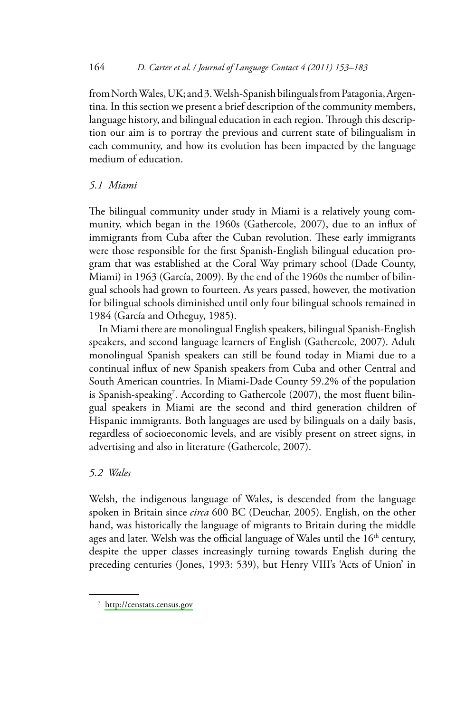from North Wales, UK; and 3. Welsh-Spanish bilinguals from Patagonia, Argentina. In this section we present a brief description of the community members, language history, and bilingual education in each region. Through this description our aim is to portray the previous and current state of bilingualism in each community, and how its evolution has been impacted by the language medium of education.

### 5.1 Miami

The bilingual community under study in Miami is a relatively young community, which began in the 1960s (Gathercole, 2007), due to an influx of immigrants from Cuba after the Cuban revolution. These early immigrants were those responsible for the first Spanish-English bilingual education program that was established at the Coral Way primary school (Dade County, Miami) in 1963 (García, 2009). By the end of the 1960s the number of bilingual schools had grown to fourteen. As years passed, however, the motivation for bilingual schools diminished until only four bilingual schools remained in 1984 (García and Otheguy, 1985).

In Miami there are monolingual English speakers, bilingual Spanish-English speakers, and second language learners of English (Gathercole, 2007). Adult monolingual Spanish speakers can still be found today in Miami due to a continual influx of new Spanish speakers from Cuba and other Central and South American countries. In Miami-Dade County 59.2% of the population is Spanish-speaking<sup>7</sup>. According to Gathercole (2007), the most fluent bilingual speakers in Miami are the second and third generation children of Hispanic immigrants. Both languages are used by bilinguals on a daily basis, regardless of socioeconomic levels, and are visibly present on street signs, in advertising and also in literature (Gathercole, 2007).

## 5.2 Wales

Welsh, the indigenous language of Wales, is descended from the language spoken in Britain since circa 600 BC (Deuchar, 2005). English, on the other hand, was historically the language of migrants to Britain during the middle ages and later. Welsh was the official language of Wales until the 16<sup>th</sup> century, despite the upper classes increasingly turning towards English during the preceding centuries (Jones, 1993: 539), but Henry VIII's 'Acts of Union' in

<sup>7</sup> http://censtats.census.gov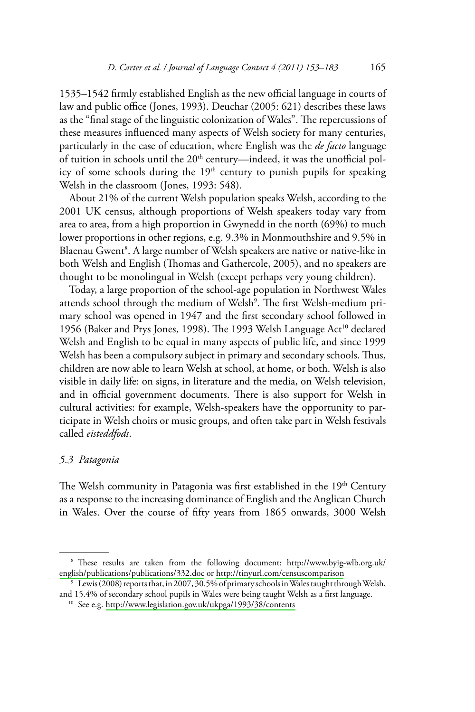1535-1542 firmly established English as the new official language in courts of law and public office (Jones, 1993). Deuchar (2005: 621) describes these laws as the "final stage of the linguistic colonization of Wales". The repercussions of these measures influenced many aspects of Welsh society for many centuries, particularly in the case of education, where English was the *de facto* language of tuition in schools until the 20<sup>th</sup> century—indeed, it was the unofficial policy of some schools during the 19<sup>th</sup> century to punish pupils for speaking Welsh in the classroom (Jones, 1993: 548).

About 21% of the current Welsh population speaks Welsh, according to the 2001 UK census, although proportions of Welsh speakers today vary from area to area, from a high proportion in Gwynedd in the north (69%) to much lower proportions in other regions, e.g. 9.3% in Monmouthshire and 9.5% in Blaenau Gwent<sup>8</sup>. A large number of Welsh speakers are native or native-like in both Welsh and English (Thomas and Gathercole, 2005), and no speakers are thought to be monolingual in Welsh (except perhaps very young children).

Today, a large proportion of the school-age population in Northwest Wales attends school through the medium of Welsh<sup>9</sup>. The first Welsh-medium primary school was opened in 1947 and the first secondary school followed in 1956 (Baker and Prys Jones, 1998). The 1993 Welsh Language Act<sup>10</sup> declared Welsh and English to be equal in many aspects of public life, and since 1999 Welsh has been a compulsory subject in primary and secondary schools. Thus, children are now able to learn Welsh at school, at home, or both. Welsh is also visible in daily life: on signs, in literature and the media, on Welsh television, and in official government documents. There is also support for Welsh in cultural activities: for example, Welsh-speakers have the opportunity to participate in Welsh choirs or music groups, and often take part in Welsh festivals called *eisteddfods*.

### 5.3 Patagonia

The Welsh community in Patagonia was first established in the 19<sup>th</sup> Century as a response to the increasing dominance of English and the Anglican Church in Wales. Over the course of fifty years from 1865 onwards, 3000 Welsh

<sup>&</sup>lt;sup>8</sup> These results are taken from the following document: http://www.byig-wlb.org.uk/ english/publications/publications/332.doc or http://tinyurl.com/censuscomparison

<sup>&</sup>lt;sup>9</sup> Lewis (2008) reports that, in 2007, 30.5% of primary schools in Wales taught through Welsh, and 15.4% of secondary school pupils in Wales were being taught Welsh as a first language.

<sup>&</sup>lt;sup>10</sup> See e.g. http://www.legislation.gov.uk/ukpga/1993/38/contents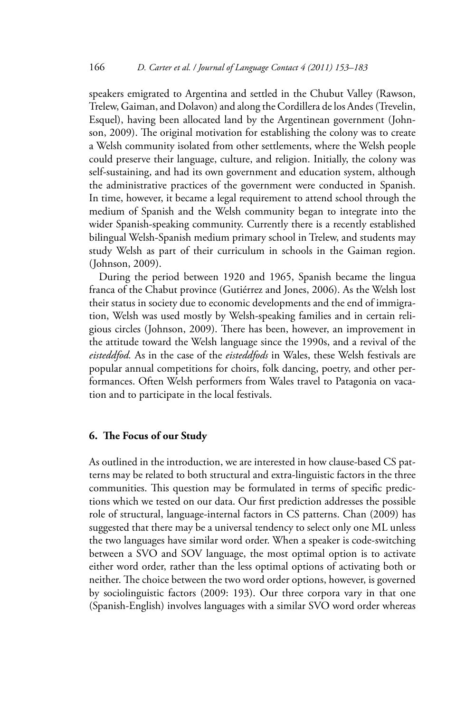speakers emigrated to Argentina and settled in the Chubut Valley (Rawson, Trelew, Gaiman, and Dolavon) and along the Cordillera de los Andes (Trevelin, Esquel), having been allocated land by the Argentinean government (Johnson, 2009). The original motivation for establishing the colony was to create a Welsh community isolated from other settlements, where the Welsh people could preserve their language, culture, and religion. Initially, the colony was self-sustaining, and had its own government and education system, although the administrative practices of the government were conducted in Spanish. In time, however, it became a legal requirement to attend school through the medium of Spanish and the Welsh community began to integrate into the wider Spanish-speaking community. Currently there is a recently established bilingual Welsh-Spanish medium primary school in Trelew, and students may study Welsh as part of their curriculum in schools in the Gaiman region. (Johnson, 2009).

During the period between 1920 and 1965, Spanish became the lingua franca of the Chabut province (Gutiérrez and Jones, 2006). As the Welsh lost their status in society due to economic developments and the end of immigration, Welsh was used mostly by Welsh-speaking families and in certain religious circles (Johnson, 2009). There has been, however, an improvement in the attitude toward the Welsh language since the 1990s, and a revival of the eisteddfod. As in the case of the eisteddfods in Wales, these Welsh festivals are popular annual competitions for choirs, folk dancing, poetry, and other performances. Often Welsh performers from Wales travel to Patagonia on vacation and to participate in the local festivals.

### 6. The Focus of our Study

As outlined in the introduction, we are interested in how clause-based CS patterns may be related to both structural and extra-linguistic factors in the three communities. This question may be formulated in terms of specific predictions which we tested on our data. Our first prediction addresses the possible role of structural, language-internal factors in CS patterns. Chan (2009) has suggested that there may be a universal tendency to select only one ML unless the two languages have similar word order. When a speaker is code-switching between a SVO and SOV language, the most optimal option is to activate either word order, rather than the less optimal options of activating both or neither. The choice between the two word order options, however, is governed by sociolinguistic factors (2009: 193). Our three corpora vary in that one (Spanish-English) involves languages with a similar SVO word order whereas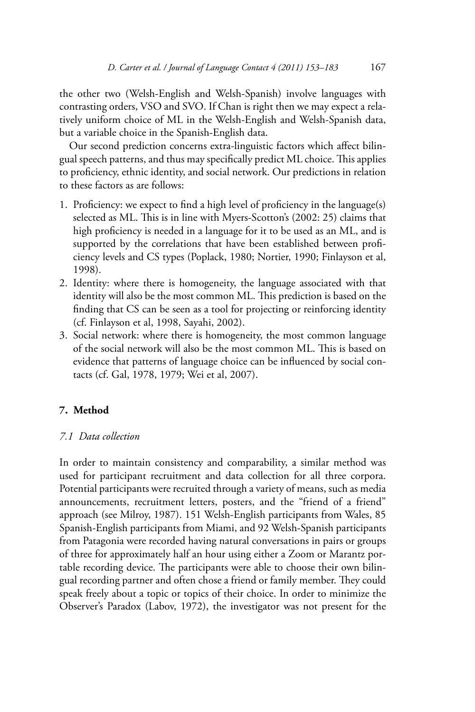the other two (Welsh-English and Welsh-Spanish) involve languages with contrasting orders, VSO and SVO. If Chan is right then we may expect a relatively uniform choice of ML in the Welsh-English and Welsh-Spanish data, but a variable choice in the Spanish-English data.

Our second prediction concerns extra-linguistic factors which affect bilingual speech patterns, and thus may specifically predict ML choice. This applies to proficiency, ethnic identity, and social network. Our predictions in relation to these factors as are follows:

- 1. Proficiency: we expect to find a high level of proficiency in the language(s) selected as ML. This is in line with Myers-Scotton's (2002: 25) claims that high proficiency is needed in a language for it to be used as an ML, and is supported by the correlations that have been established between proficiency levels and CS types (Poplack, 1980; Nortier, 1990; Finlayson et al, 1998).
- 2. Identity: where there is homogeneity, the language associated with that identity will also be the most common ML. This prediction is based on the finding that CS can be seen as a tool for projecting or reinforcing identity (cf. Finlayson et al, 1998, Sayahi, 2002).
- 3. Social network: where there is homogeneity, the most common language of the social network will also be the most common ML. This is based on evidence that patterns of language choice can be influenced by social contacts (cf. Gal, 1978, 1979; Wei et al, 2007).

## 7. Method

### 7.1 Data collection

In order to maintain consistency and comparability, a similar method was used for participant recruitment and data collection for all three corpora. Potential participants were recruited through a variety of means, such as media announcements, recruitment letters, posters, and the "friend of a friend" approach (see Milroy, 1987). 151 Welsh-English participants from Wales, 85 Spanish-English participants from Miami, and 92 Welsh-Spanish participants from Patagonia were recorded having natural conversations in pairs or groups of three for approximately half an hour using either a Zoom or Marantz portable recording device. The participants were able to choose their own bilingual recording partner and often chose a friend or family member. They could speak freely about a topic or topics of their choice. In order to minimize the Observer's Paradox (Labov, 1972), the investigator was not present for the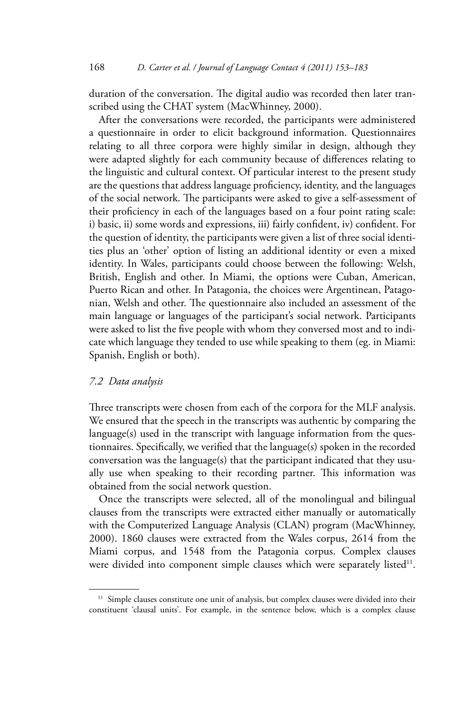duration of the conversation. The digital audio was recorded then later transcribed using the CHAT system (MacWhinney, 2000).

After the conversations were recorded, the participants were administered a questionnaire in order to elicit background information. Questionnaires relating to all three corpora were highly similar in design, although they were adapted slightly for each community because of differences relating to the linguistic and cultural context. Of particular interest to the present study are the questions that address language proficiency, identity, and the languages of the social network. The participants were asked to give a self-assessment of their proficiency in each of the languages based on a four point rating scale: i) basic, ii) some words and expressions, iii) fairly confident, iv) confident. For the question of identity, the participants were given a list of three social identities plus an 'other' option of listing an additional identity or even a mixed identity. In Wales, participants could choose between the following: Welsh, British, English and other. In Miami, the options were Cuban, American, Puerto Rican and other. In Patagonia, the choices were Argentinean, Patagonian, Welsh and other. The questionnaire also included an assessment of the main language or languages of the participant's social network. Participants were asked to list the five people with whom they conversed most and to indicate which language they tended to use while speaking to them (eg. in Miami: Spanish, English or both).

#### 7.2 Data analysis

168

Three transcripts were chosen from each of the corpora for the MLF analysis. We ensured that the speech in the transcripts was authentic by comparing the language(s) used in the transcript with language information from the questionnaires. Specifically, we verified that the language(s) spoken in the recorded conversation was the language(s) that the participant indicated that they usually use when speaking to their recording partner. This information was obtained from the social network question.

Once the transcripts were selected, all of the monolingual and bilingual clauses from the transcripts were extracted either manually or automatically with the Computerized Language Analysis (CLAN) program (MacWhinney, 2000). 1860 clauses were extracted from the Wales corpus, 2614 from the Miami corpus, and 1548 from the Patagonia corpus. Complex clauses were divided into component simple clauses which were separately listed<sup>11</sup>.

<sup>&</sup>lt;sup>11</sup> Simple clauses constitute one unit of analysis, but complex clauses were divided into their constituent 'clausal units'. For example, in the sentence below, which is a complex clause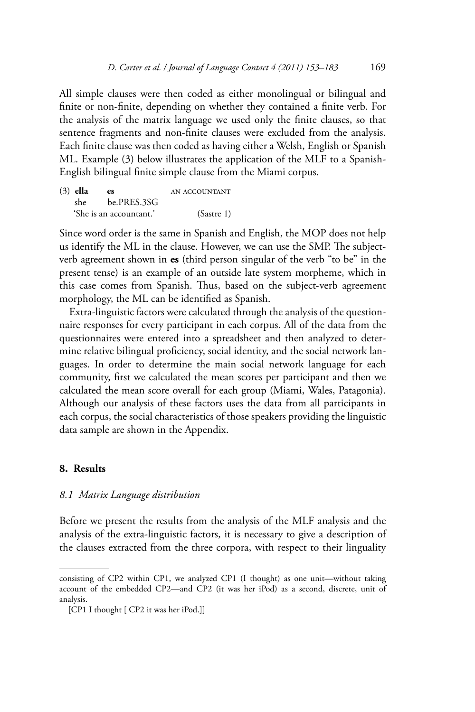All simple clauses were then coded as either monolingual or bilingual and finite or non-finite, depending on whether they contained a finite verb. For the analysis of the matrix language we used only the finite clauses, so that sentence fragments and non-finite clauses were excluded from the analysis. Each finite clause was then coded as having either a Welsh, English or Spanish ML. Example (3) below illustrates the application of the MLF to a Spanish-English bilingual finite simple clause from the Miami corpus.

 $(3)$  ella es AN ACCOUNTANT she be.PRES.3SG 'She is an accountant.' (Sastre 1)

Since word order is the same in Spanish and English, the MOP does not help us identify the ML in the clause. However, we can use the SMP. The subjectverb agreement shown in es (third person singular of the verb "to be" in the present tense) is an example of an outside late system morpheme, which in this case comes from Spanish. Thus, based on the subject-verb agreement morphology, the ML can be identified as Spanish.

Extra-linguistic factors were calculated through the analysis of the questionnaire responses for every participant in each corpus. All of the data from the questionnaires were entered into a spreadsheet and then analyzed to determine relative bilingual proficiency, social identity, and the social network languages. In order to determine the main social network language for each community, first we calculated the mean scores per participant and then we calculated the mean score overall for each group (Miami, Wales, Patagonia). Although our analysis of these factors uses the data from all participants in each corpus, the social characteristics of those speakers providing the linguistic data sample are shown in the Appendix.

### 8. Results

### 8.1 Matrix Language distribution

Before we present the results from the analysis of the MLF analysis and the analysis of the extra-linguistic factors, it is necessary to give a description of the clauses extracted from the three corpora, with respect to their linguality

consisting of CP2 within CP1, we analyzed CP1 (I thought) as one unit-without taking account of the embedded CP2-and CP2 (it was her iPod) as a second, discrete, unit of analysis.

<sup>[</sup>CP1 I thought [CP2 it was her iPod.]]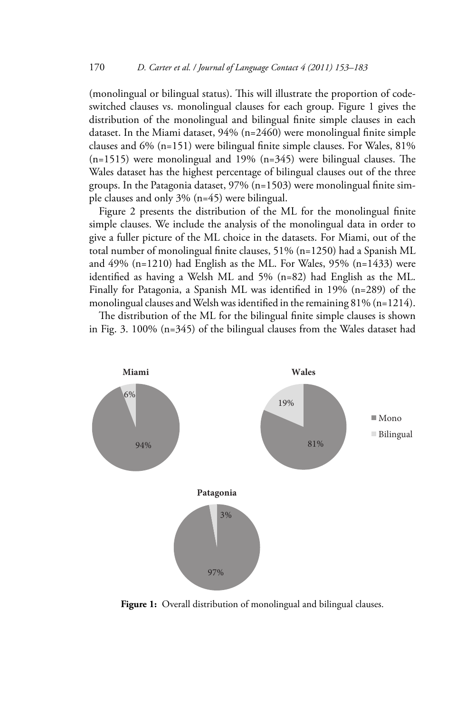(monolingual or bilingual status). This will illustrate the proportion of codeswitched clauses vs. monolingual clauses for each group. Figure 1 gives the distribution of the monolingual and bilingual finite simple clauses in each dataset. In the Miami dataset,  $94\%$  (n=2460) were monolingual finite simple clauses and  $6\%$  (n=151) were bilingual finite simple clauses. For Wales, 81%  $(n=1515)$  were monolingual and 19%  $(n=345)$  were bilingual clauses. The Wales dataset has the highest percentage of bilingual clauses out of the three groups. In the Patagonia dataset,  $97\%$  (n=1503) were monolingual finite simple clauses and only  $3\%$  (n=45) were bilingual.

Figure 2 presents the distribution of the ML for the monolingual finite simple clauses. We include the analysis of the monolingual data in order to give a fuller picture of the ML choice in the datasets. For Miami, out of the total number of monolingual finite clauses, 51% (n=1250) had a Spanish ML and  $49\%$  (n=1210) had English as the ML. For Wales, 95% (n=1433) were identified as having a Welsh ML and 5% (n=82) had English as the ML. Finally for Patagonia, a Spanish ML was identified in 19%  $(n=289)$  of the monolingual clauses and Welsh was identified in the remaining  $81\%$  (n=1214).

The distribution of the ML for the bilingual finite simple clauses is shown in Fig. 3. 100%  $(n=345)$  of the bilingual clauses from the Wales dataset had



Figure 1: Overall distribution of monolingual and bilingual clauses.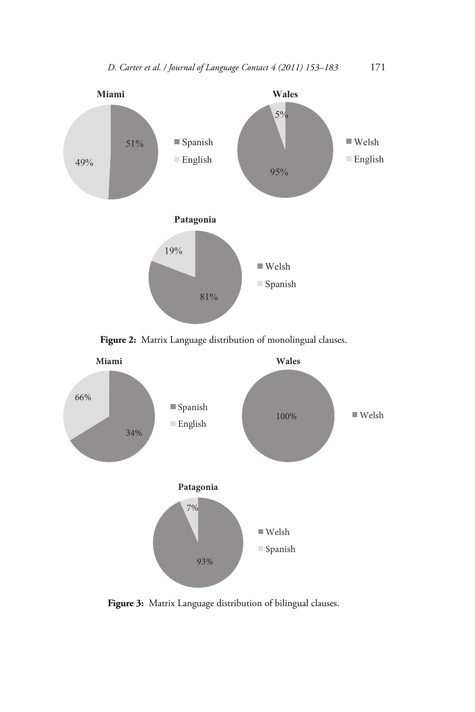





Figure 3: Matrix Language distribution of bilingual clauses.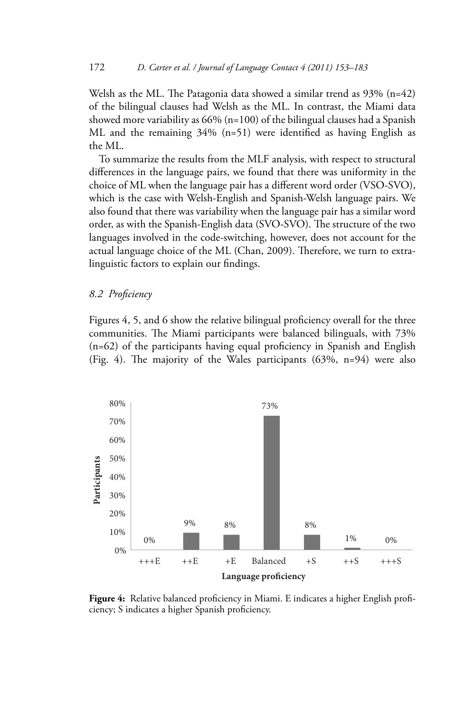Welsh as the ML. The Patagonia data showed a similar trend as  $93\%$  (n=42) of the bilingual clauses had Welsh as the ML. In contrast, the Miami data showed more variability as  $66\%$  (n=100) of the bilingual clauses had a Spanish ML and the remaining  $34\%$  (n=51) were identified as having English as the ML.

To summarize the results from the MLF analysis, with respect to structural differences in the language pairs, we found that there was uniformity in the choice of ML when the language pair has a different word order (VSO-SVO), which is the case with Welsh-English and Spanish-Welsh language pairs. We also found that there was variability when the language pair has a similar word order, as with the Spanish-English data (SVO-SVO). The structure of the two languages involved in the code-switching, however, does not account for the actual language choice of the ML (Chan, 2009). Therefore, we turn to extralinguistic factors to explain our findings.

#### 8.2 Proficiency

Figures 4, 5, and 6 show the relative bilingual proficiency overall for the three communities. The Miami participants were balanced bilinguals, with 73%  $(n=62)$  of the participants having equal proficiency in Spanish and English (Fig. 4). The majority of the Wales participants  $(63\%, n=94)$  were also



Figure 4: Relative balanced proficiency in Miami. E indicates a higher English proficiency; S indicates a higher Spanish proficiency.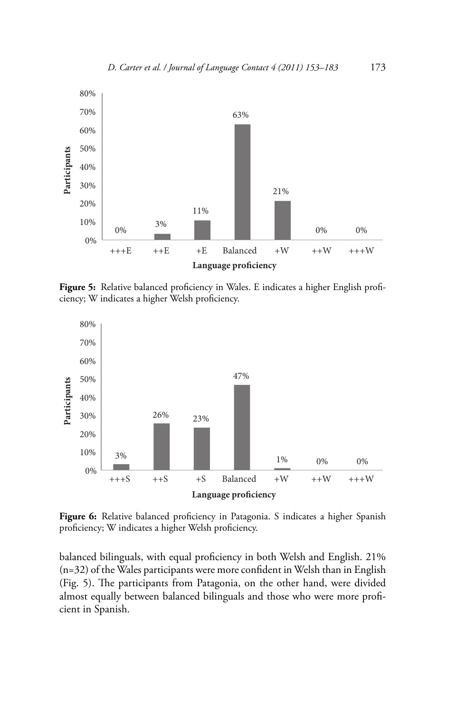

Figure 5: Relative balanced proficiency in Wales. E indicates a higher English proficiency; W indicates a higher Welsh proficiency.



Figure 6: Relative balanced proficiency in Patagonia. S indicates a higher Spanish proficiency; W indicates a higher Welsh proficiency.

balanced bilinguals, with equal proficiency in both Welsh and English. 21%  $(n=32)$  of the Wales participants were more confident in Welsh than in English (Fig. 5). The participants from Patagonia, on the other hand, were divided almost equally between balanced bilinguals and those who were more proficient in Spanish.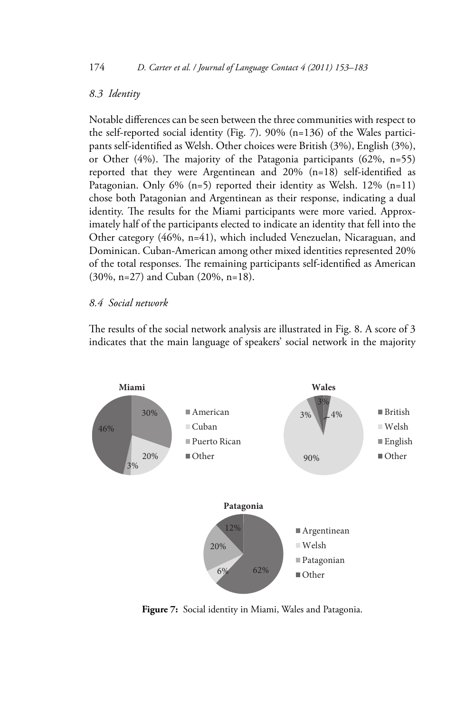#### 174 D. Carter et al. / Journal of Language Contact 4 (2011) 153-183

### 8.3 Identity

Notable differences can be seen between the three communities with respect to the self-reported social identity (Fig. 7).  $90\%$  (n=136) of the Wales participants self-identified as Welsh. Other choices were British (3%), English (3%), or Other (4%). The majority of the Patagonia participants (62%, n=55) reported that they were Argentinean and 20% (n=18) self-identified as Patagonian. Only  $6\%$  (n=5) reported their identity as Welsh. 12% (n=11) chose both Patagonian and Argentinean as their response, indicating a dual identity. The results for the Miami participants were more varied. Approximately half of the participants elected to indicate an identity that fell into the Other category (46%, n=41), which included Venezuelan, Nicaraguan, and Dominican. Cuban-American among other mixed identities represented 20% of the total responses. The remaining participants self-identified as American  $(30\%, n=27)$  and Cuban  $(20\%, n=18)$ .

### 8.4 Social network

The results of the social network analysis are illustrated in Fig. 8. A score of 3 indicates that the main language of speakers' social network in the majority



Figure 7: Social identity in Miami, Wales and Patagonia.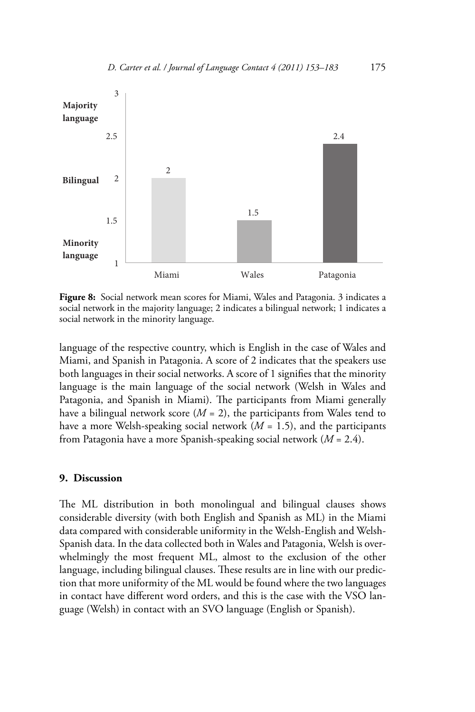

Figure 8: Social network mean scores for Miami, Wales and Patagonia. 3 indicates a social network in the majority language; 2 indicates a bilingual network; 1 indicates a social network in the minority language.

language of the respective country, which is English in the case of Wales and Miami, and Spanish in Patagonia. A score of 2 indicates that the speakers use both languages in their social networks. A score of 1 signifies that the minority language is the main language of the social network (Welsh in Wales and Patagonia, and Spanish in Miami). The participants from Miami generally have a bilingual network score  $(M = 2)$ , the participants from Wales tend to have a more Welsh-speaking social network ( $M = 1.5$ ), and the participants from Patagonia have a more Spanish-speaking social network ( $M = 2.4$ ).

### 9. Discussion

The ML distribution in both monolingual and bilingual clauses shows considerable diversity (with both English and Spanish as ML) in the Miami data compared with considerable uniformity in the Welsh-English and Welsh-Spanish data. In the data collected both in Wales and Patagonia, Welsh is overwhelmingly the most frequent ML, almost to the exclusion of the other language, including bilingual clauses. These results are in line with our prediction that more uniformity of the ML would be found where the two languages in contact have different word orders, and this is the case with the VSO language (Welsh) in contact with an SVO language (English or Spanish).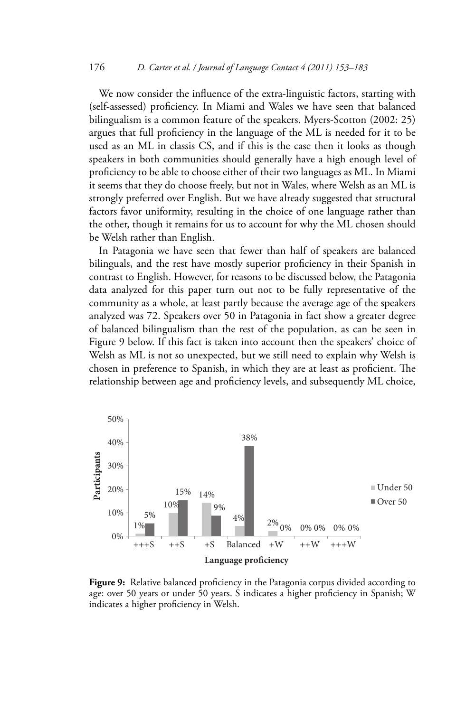176

We now consider the influence of the extra-linguistic factors, starting with (self-assessed) proficiency. In Miami and Wales we have seen that balanced bilingualism is a common feature of the speakers. Myers-Scotton (2002: 25) argues that full proficiency in the language of the ML is needed for it to be used as an ML in classis CS, and if this is the case then it looks as though speakers in both communities should generally have a high enough level of proficiency to be able to choose either of their two languages as ML. In Miami it seems that they do choose freely, but not in Wales, where Welsh as an ML is strongly preferred over English. But we have already suggested that structural factors favor uniformity, resulting in the choice of one language rather than the other, though it remains for us to account for why the ML chosen should be Welsh rather than English.

In Patagonia we have seen that fewer than half of speakers are balanced bilinguals, and the rest have mostly superior proficiency in their Spanish in contrast to English. However, for reasons to be discussed below, the Patagonia data analyzed for this paper turn out not to be fully representative of the community as a whole, at least partly because the average age of the speakers analyzed was 72. Speakers over 50 in Patagonia in fact show a greater degree of balanced bilingualism than the rest of the population, as can be seen in Figure 9 below. If this fact is taken into account then the speakers' choice of Welsh as ML is not so unexpected, but we still need to explain why Welsh is chosen in preference to Spanish, in which they are at least as proficient. The relationship between age and proficiency levels, and subsequently ML choice,



**Figure 9:** Relative balanced proficiency in the Patagonia corpus divided according to age: over 50 years or under 50 years. S indicates a higher proficiency in Spanish; W indicates a higher proficiency in Welsh.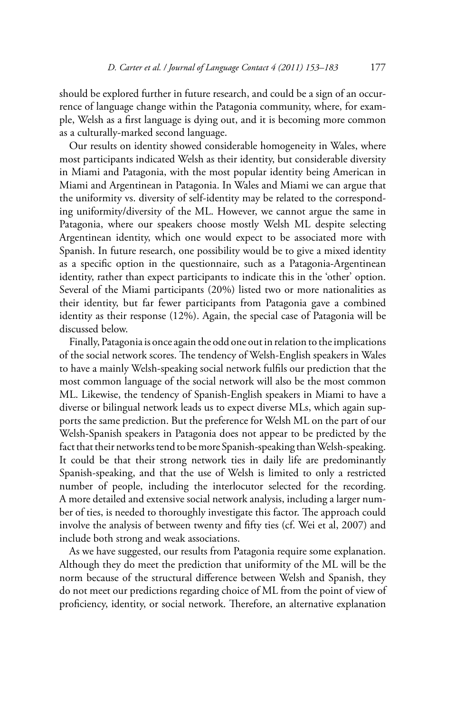should be explored further in future research, and could be a sign of an occurrence of language change within the Patagonia community, where, for example, Welsh as a first language is dying out, and it is becoming more common as a culturally-marked second language.

Our results on identity showed considerable homogeneity in Wales, where most participants indicated Welsh as their identity, but considerable diversity in Miami and Patagonia, with the most popular identity being American in Miami and Argentinean in Patagonia. In Wales and Miami we can argue that the uniformity vs. diversity of self-identity may be related to the corresponding uniformity/diversity of the ML. However, we cannot argue the same in Patagonia, where our speakers choose mostly Welsh ML despite selecting Argentinean identity, which one would expect to be associated more with Spanish. In future research, one possibility would be to give a mixed identity as a specific option in the questionnaire, such as a Patagonia-Argentinean identity, rather than expect participants to indicate this in the 'other' option. Several of the Miami participants (20%) listed two or more nationalities as their identity, but far fewer participants from Patagonia gave a combined identity as their response (12%). Again, the special case of Patagonia will be discussed below.

Finally, Patagonia is once again the odd one out in relation to the implications of the social network scores. The tendency of Welsh-English speakers in Wales to have a mainly Welsh-speaking social network fulfils our prediction that the most common language of the social network will also be the most common ML. Likewise, the tendency of Spanish-English speakers in Miami to have a diverse or bilingual network leads us to expect diverse MLs, which again supports the same prediction. But the preference for Welsh ML on the part of our Welsh-Spanish speakers in Patagonia does not appear to be predicted by the fact that their networks tend to be more Spanish-speaking than Welsh-speaking. It could be that their strong network ties in daily life are predominantly Spanish-speaking, and that the use of Welsh is limited to only a restricted number of people, including the interlocutor selected for the recording. A more detailed and extensive social network analysis, including a larger number of ties, is needed to thoroughly investigate this factor. The approach could involve the analysis of between twenty and fifty ties (cf. Wei et al, 2007) and include both strong and weak associations.

As we have suggested, our results from Patagonia require some explanation. Although they do meet the prediction that uniformity of the ML will be the norm because of the structural difference between Welsh and Spanish, they do not meet our predictions regarding choice of ML from the point of view of proficiency, identity, or social network. Therefore, an alternative explanation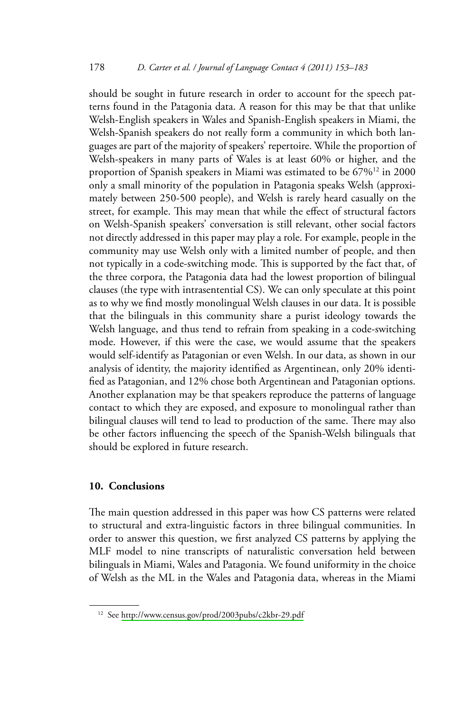should be sought in future research in order to account for the speech patterns found in the Patagonia data. A reason for this may be that that unlike Welsh-English speakers in Wales and Spanish-English speakers in Miami, the Welsh-Spanish speakers do not really form a community in which both languages are part of the majority of speakers' repertoire. While the proportion of Welsh-speakers in many parts of Wales is at least 60% or higher, and the proportion of Spanish speakers in Miami was estimated to be 67%<sup>12</sup> in 2000 only a small minority of the population in Patagonia speaks Welsh (approximately between 250-500 people), and Welsh is rarely heard casually on the street, for example. This may mean that while the effect of structural factors on Welsh-Spanish speakers' conversation is still relevant, other social factors not directly addressed in this paper may play a role. For example, people in the community may use Welsh only with a limited number of people, and then not typically in a code-switching mode. This is supported by the fact that, of the three corpora, the Patagonia data had the lowest proportion of bilingual clauses (the type with intrasentential CS). We can only speculate at this point as to why we find mostly monolingual Welsh clauses in our data. It is possible that the bilinguals in this community share a purist ideology towards the Welsh language, and thus tend to refrain from speaking in a code-switching mode. However, if this were the case, we would assume that the speakers would self-identify as Patagonian or even Welsh. In our data, as shown in our analysis of identity, the majority identified as Argentinean, only 20% identified as Patagonian, and 12% chose both Argentinean and Patagonian options. Another explanation may be that speakers reproduce the patterns of language contact to which they are exposed, and exposure to monolingual rather than bilingual clauses will tend to lead to production of the same. There may also be other factors influencing the speech of the Spanish-Welsh bilinguals that should be explored in future research.

### 10. Conclusions

178

The main question addressed in this paper was how CS patterns were related to structural and extra-linguistic factors in three bilingual communities. In order to answer this question, we first analyzed CS patterns by applying the MLF model to nine transcripts of naturalistic conversation held between bilinguals in Miami, Wales and Patagonia. We found uniformity in the choice of Welsh as the ML in the Wales and Patagonia data, whereas in the Miami

<sup>&</sup>lt;sup>12</sup> See http://www.census.gov/prod/2003pubs/c2kbr-29.pdf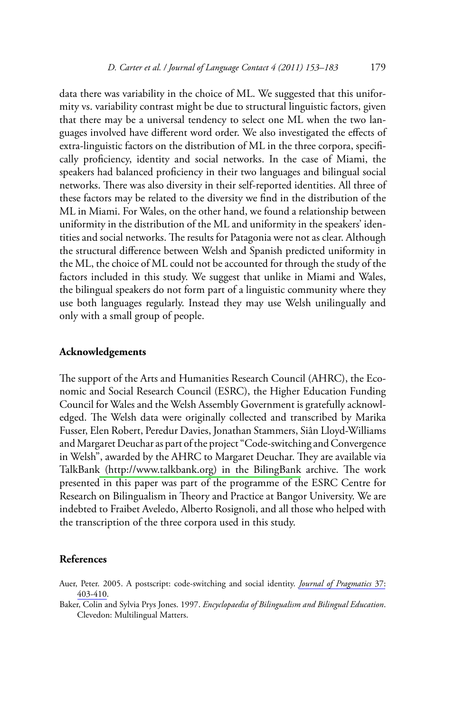data there was variability in the choice of ML. We suggested that this uniformity vs. variability contrast might be due to structural linguistic factors, given that there may be a universal tendency to select one ML when the two languages involved have different word order. We also investigated the effects of extra-linguistic factors on the distribution of ML in the three corpora, specifically proficiency, identity and social networks. In the case of Miami, the speakers had balanced proficiency in their two languages and bilingual social networks. There was also diversity in their self-reported identities. All three of these factors may be related to the diversity we find in the distribution of the ML in Miami. For Wales, on the other hand, we found a relationship between uniformity in the distribution of the ML and uniformity in the speakers' identities and social networks. The results for Patagonia were not as clear. Although the structural difference between Welsh and Spanish predicted uniformity in the ML, the choice of ML could not be accounted for through the study of the factors included in this study. We suggest that unlike in Miami and Wales, the bilingual speakers do not form part of a linguistic community where they use both languages regularly. Instead they may use Welsh unilingually and only with a small group of people.

#### Acknowledgements

The support of the Arts and Humanities Research Council (AHRC), the Economic and Social Research Council (ESRC), the Higher Education Funding Council for Wales and the Welsh Assembly Government is gratefully acknowledged. The Welsh data were originally collected and transcribed by Marika Fusser, Elen Robert, Peredur Davies, Jonathan Stammers, Siân Lloyd-Williams and Margaret Deuchar as part of the project "Code-switching and Convergence in Welsh", awarded by the AHRC to Margaret Deuchar. They are available via TalkBank (http://www.talkbank.org) in the BilingBank archive. The work presented in this paper was part of the programme of the ESRC Centre for Research on Bilingualism in Theory and Practice at Bangor University. We are indebted to Fraibet Aveledo, Alberto Rosignoli, and all those who helped with the transcription of the three corpora used in this study.

### References

- Auer, Peter. 2005. A postscript: code-switching and social identity. Journal of Pragmatics 37: 403-410.
- Baker, Colin and Sylvia Prys Jones. 1997. Encyclopaedia of Bilingualism and Bilingual Education. Clevedon: Multilingual Matters.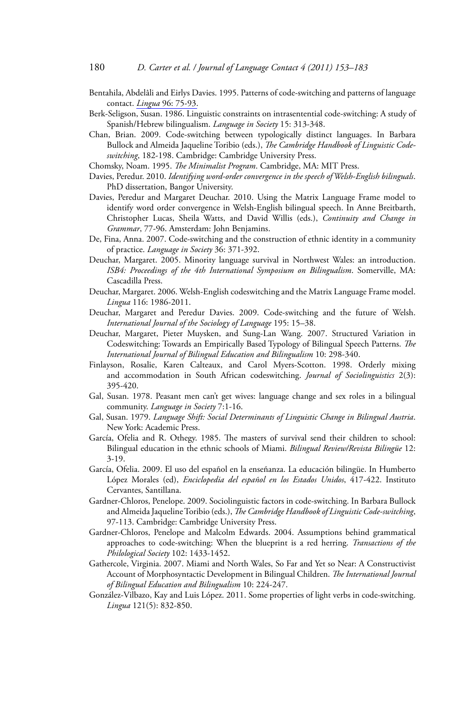- Bentahila, Abdelâli and Eirlys Davies. 1995. Patterns of code-switching and patterns of language contact. Lingua 96: 75-93.
- Berk-Seligson, Susan. 1986. Linguistic constraints on intrasentential code-switching: A study of Spanish/Hebrew bilingualism. Language in Society 15: 313-348.
- Chan, Brian. 2009. Code-switching between typologically distinct languages. In Barbara Bullock and Almeida Jaqueline Toribio (eds.), The Cambridge Handbook of Linguistic Codeswitching, 182-198. Cambridge: Cambridge University Press.
- Chomsky, Noam. 1995. The Minimalist Program. Cambridge, MA: MIT Press.
- Davies, Peredur. 2010. Identifying word-order convergence in the speech of Welsh-English bilinguals. PhD dissertation, Bangor University.
- Davies, Peredur and Margaret Deuchar. 2010. Using the Matrix Language Frame model to identify word order convergence in Welsh-English bilingual speech. In Anne Breitbarth, Christopher Lucas, Sheila Watts, and David Willis (eds.), Continuity and Change in Grammar, 77-96. Amsterdam: John Benjamins.
- De, Fina, Anna. 2007. Code-switching and the construction of ethnic identity in a community of practice. Language in Society 36: 371-392.
- Deuchar, Margaret. 2005. Minority language survival in Northwest Wales: an introduction. ISB4: Proceedings of the 4th International Symposium on Bilingualism. Somerville, MA: Cascadilla Press.
- Deuchar, Margaret. 2006. Welsh-English codeswitching and the Matrix Language Frame model. Lingua 116: 1986-2011.
- Deuchar, Margaret and Peredur Davies. 2009. Code-switching and the future of Welsh. International Journal of the Sociology of Language 195: 15-38.
- Deuchar, Margaret, Pieter Muysken, and Sung-Lan Wang. 2007. Structured Variation in Codeswitching: Towards an Empirically Based Typology of Bilingual Speech Patterns. The International Journal of Bilingual Education and Bilingualism 10: 298-340.
- Finlayson, Rosalie, Karen Calteaux, and Carol Myers-Scotton. 1998. Orderly mixing and accommodation in South African codeswitching. Journal of Sociolinguistics 2(3): 395-420.
- Gal, Susan. 1978. Peasant men can't get wives: language change and sex roles in a bilingual community. Language in Society 7:1-16.
- Gal, Susan. 1979. Language Shift: Social Determinants of Linguistic Change in Bilingual Austria. New York: Academic Press.
- García, Ofelia and R. Othegy. 1985. The masters of survival send their children to school: Bilingual education in the ethnic schools of Miami. Bilingual Review/Revista Bilingüe 12:  $3-19$ .
- García, Ofelia. 2009. El uso del español en la enseñanza. La educación bilingüe. In Humberto López Morales (ed), Enciclopedia del español en los Estados Unidos, 417-422. Instituto Cervantes, Santillana.
- Gardner-Chloros, Penelope. 2009. Sociolinguistic factors in code-switching. In Barbara Bullock and Almeida Jaqueline Toribio (eds.), The Cambridge Handbook of Linguistic Code-switching, 97-113. Cambridge: Cambridge University Press.
- Gardner-Chloros, Penelope and Malcolm Edwards. 2004. Assumptions behind grammatical approaches to code-switching: When the blueprint is a red herring. Transactions of the Philological Society 102: 1433-1452.
- Gathercole, Virginia. 2007. Miami and North Wales, So Far and Yet so Near: A Constructivist Account of Morphosyntactic Development in Bilingual Children. The International Journal of Bilingual Education and Bilingualism 10: 224-247.
- González-Vilbazo, Kay and Luis López. 2011. Some properties of light verbs in code-switching. Lingua 121(5): 832-850.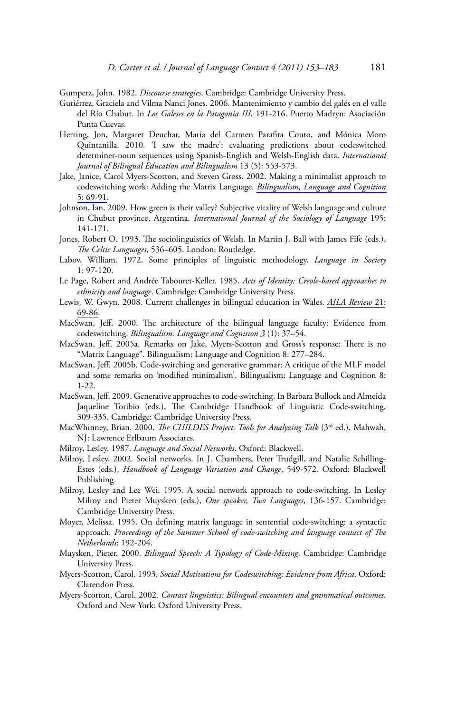Gumperz, John. 1982. Discourse strategies. Cambridge: Cambridge University Press.

- Gutiérrez, Graciela and Vilma Nanci Jones. 2006. Mantenimiento y cambio del galés en el valle del Río Chabut. In Los Galeses en la Patagonia III, 191-216. Puerto Madryn: Asociación Punta Cuevas.
- Herring, Jon, Margaret Deuchar, María del Carmen Parafita Couto, and Mónica Moro Quintanilla. 2010. 'I saw the madre': evaluating predictions about codeswitched determiner-noun sequences using Spanish-English and Welsh-English data. International Journal of Bilingual Education and Bilingualism 13 (5): 553-573.
- Jake, Janice, Carol Myers-Scotton, and Steven Gross. 2002. Making a minimalist approach to codeswitching work: Adding the Matrix Language. Bilingualism, Language and Cognition 5: 69-91.
- Johnson, Ian. 2009. How green is their valley? Subjective vitality of Welsh language and culture in Chubut province, Argentina. International Journal of the Sociology of Language 195: 141-171.
- Jones, Robert O. 1993. The sociolinguistics of Welsh. In Martin J. Ball with James Fife (eds.), The Celtic Languages, 536-605. London: Routledge.
- Labov, William. 1972. Some principles of linguistic methodology. Language in Society  $1: 97-120.$
- Le Page, Robert and Andrée Tabouret-Keller. 1985. Acts of Identity: Creole-based approaches to ethnicity and language. Cambridge: Cambridge University Press.
- Lewis, W. Gwyn. 2008. Current challenges in bilingual education in Wales. AILA Review 21: 69-86.
- MacSwan, Jeff. 2000. The architecture of the bilingual language faculty: Evidence from codeswitching. Bilingualism: Language and Cognition 3 (1): 37–54.
- MacSwan, Jeff. 2005a. Remarks on Jake, Myers-Scotton and Gross's response: There is no "Matrix Language". Bilingualism: Language and Cognition 8: 277-284.
- MacSwan, Jeff. 2005b. Code-switching and generative grammar: A critique of the MLF model and some remarks on 'modified minimalism'. Bilingualism: Language and Cognition 8:  $1-22.$
- MacSwan, Jeff. 2009. Generative approaches to code-switching. In Barbara Bullock and Almeida Jaqueline Toribio (eds.), The Cambridge Handbook of Linguistic Code-switching, 309-335. Cambridge: Cambridge University Press.
- MacWhinney, Brian. 2000. The CHILDES Project: Tools for Analyzing Talk (3<sup>rd</sup> ed.). Mahwah, NJ: Lawrence Erlbaum Associates.
- Milroy, Lesley. 1987. Language and Social Networks. Oxford: Blackwell.
- Milroy, Lesley. 2002. Social networks. In J. Chambers, Peter Trudgill, and Natalie Schilling-Estes (eds.), Handbook of Language Variation and Change, 549-572. Oxford: Blackwell Publishing.
- Milroy, Lesley and Lee Wei. 1995. A social network approach to code-switching. In Lesley Milroy and Pieter Muysken (eds.), One speaker, Two Languages, 136-157. Cambridge: Cambridge University Press.
- Moyer, Melissa. 1995. On defining matrix language in sentential code-switching: a syntactic approach. Proceedings of the Summer School of code-switching and language contact of The Netherlands: 192-204.
- Muysken, Pieter. 2000. Bilingual Speech: A Typology of Code-Mixing. Cambridge: Cambridge University Press.
- Myers-Scotton, Carol. 1993. Social Motivations for Codeswitching: Evidence from Africa. Oxford: Clarendon Press.
- Myers-Scotton, Carol. 2002. Contact linguistics: Bilingual encounters and grammatical outcomes. Oxford and New York: Oxford University Press.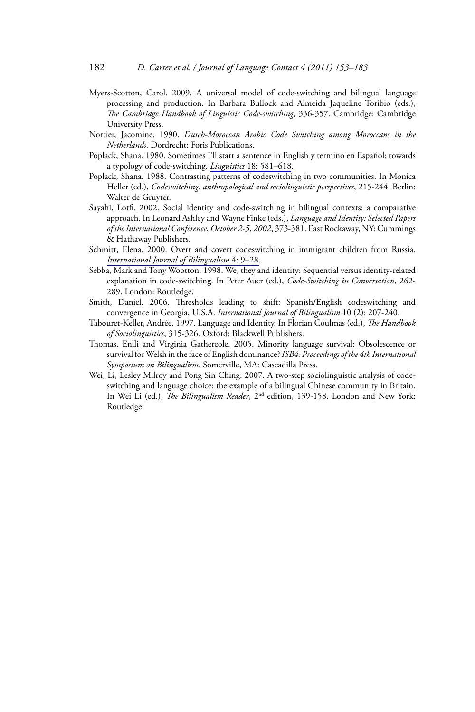- Myers-Scotton, Carol. 2009. A universal model of code-switching and bilingual language processing and production. In Barbara Bullock and Almeida Jaqueline Toribio (eds.), The Cambridge Handbook of Linguistic Code-switching, 336-357. Cambridge: Cambridge University Press.
- Nortier, Jacomine. 1990. Dutch-Moroccan Arabic Code Switching among Moroccans in the Netherlands. Dordrecht: Foris Publications.
- Poplack, Shana. 1980. Sometimes I'll start a sentence in English y termino en Español: towards a typology of code-switching. Linguistics 18: 581-618.
- Poplack, Shana. 1988. Contrasting patterns of codeswitching in two communities. In Monica Heller (ed.), Codeswitching: anthropological and sociolinguistic perspectives, 215-244. Berlin: Walter de Gruyter.
- Sayahi, Lotfi. 2002. Social identity and code-switching in bilingual contexts: a comparative approach. In Leonard Ashley and Wayne Finke (eds.), Language and Identity: Selected Papers of the International Conference, October 2-5, 2002, 373-381. East Rockaway, NY: Cummings & Hathaway Publishers.
- Schmitt, Elena. 2000. Overt and covert codeswitching in immigrant children from Russia. International Journal of Bilingualism 4: 9-28.
- Sebba, Mark and Tony Wootton. 1998. We, they and identity: Sequential versus identity-related explanation in code-switching. In Peter Auer (ed.), Code-Switching in Conversation, 262-289. London: Routledge.
- Smith, Daniel. 2006. Thresholds leading to shift: Spanish/English codeswitching and convergence in Georgia, U.S.A. International Journal of Bilingualism 10 (2): 207-240.
- Tabouret-Keller, Andrée. 1997. Language and Identity. In Florian Coulmas (ed.), The Handbook of Sociolinguistics, 315-326. Oxford: Blackwell Publishers.
- Thomas, Enlli and Virginia Gathercole. 2005. Minority language survival: Obsolescence or survival for Welsh in the face of English dominance? ISB4: Proceedings of the 4th International Symposium on Bilingualism. Somerville, MA: Cascadilla Press.
- Wei, Li, Lesley Milroy and Pong Sin Ching. 2007. A two-step sociolinguistic analysis of codeswitching and language choice: the example of a bilingual Chinese community in Britain. In Wei Li (ed.), The Bilingualism Reader, 2<sup>nd</sup> edition, 139-158. London and New York: Routledge.